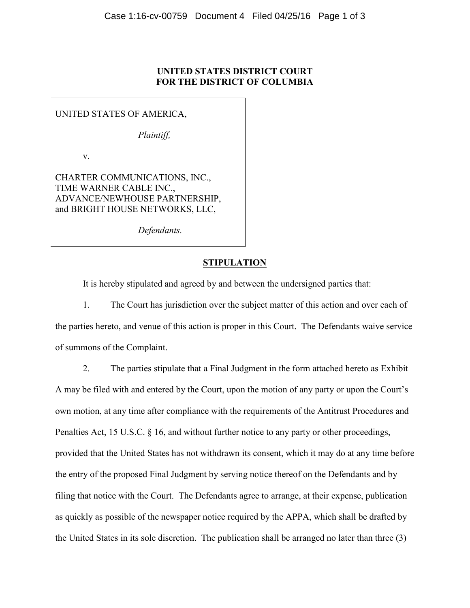## **UNITED STATES DISTRICT COURT FOR THE DISTRICT OF COLUMBIA**

## UNITED STATES OF AMERICA,

*Plaintiff,*

v.

CHARTER COMMUNICATIONS, INC., TIME WARNER CABLE INC., ADVANCE/NEWHOUSE PARTNERSHIP, and BRIGHT HOUSE NETWORKS, LLC,

*Defendants.* 

## **STIPULATION**

It is hereby stipulated and agreed by and between the undersigned parties that:

1. The Court has jurisdiction over the subject matter of this action and over each of the parties hereto, and venue of this action is proper in this Court. The Defendants waive service of summons of the Complaint.

2. The parties stipulate that a Final Judgment in the form attached hereto as Exhibit A may be filed with and entered by the Court, upon the motion of any party or upon the Court's own motion, at any time after compliance with the requirements of the Antitrust Procedures and Penalties Act, 15 U.S.C. § 16, and without further notice to any party or other proceedings, provided that the United States has not withdrawn its consent, which it may do at any time before the entry of the proposed Final Judgment by serving notice thereof on the Defendants and by filing that notice with the Court. The Defendants agree to arrange, at their expense, publication as quickly as possible of the newspaper notice required by the APPA, which shall be drafted by the United States in its sole discretion. The publication shall be arranged no later than three (3)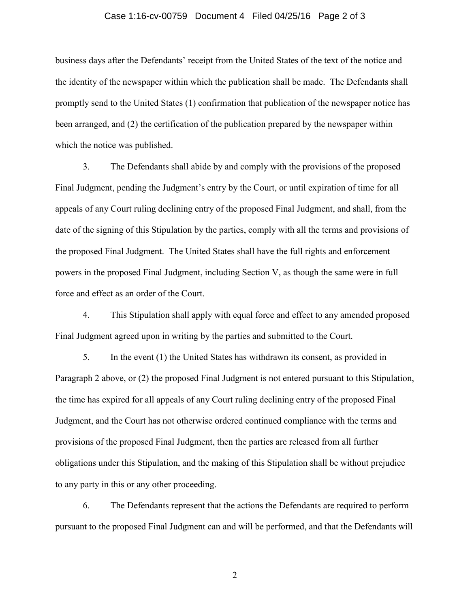## Case 1:16-cv-00759 Document 4 Filed 04/25/16 Page 2 of 3

business days after the Defendants' receipt from the United States of the text of the notice and the identity of the newspaper within which the publication shall be made. The Defendants shall promptly send to the United States (1) confirmation that publication of the newspaper notice has been arranged, and (2) the certification of the publication prepared by the newspaper within which the notice was published.

3. The Defendants shall abide by and comply with the provisions of the proposed Final Judgment, pending the Judgment's entry by the Court, or until expiration of time for all appeals of any Court ruling declining entry of the proposed Final Judgment, and shall, from the date of the signing of this Stipulation by the parties, comply with all the terms and provisions of the proposed Final Judgment. The United States shall have the full rights and enforcement powers in the proposed Final Judgment, including Section V, as though the same were in full force and effect as an order of the Court.

4. This Stipulation shall apply with equal force and effect to any amended proposed Final Judgment agreed upon in writing by the parties and submitted to the Court.

5. In the event (1) the United States has withdrawn its consent, as provided in Paragraph 2 above, or (2) the proposed Final Judgment is not entered pursuant to this Stipulation, the time has expired for all appeals of any Court ruling declining entry of the proposed Final Judgment, and the Court has not otherwise ordered continued compliance with the terms and provisions of the proposed Final Judgment, then the parties are released from all further obligations under this Stipulation, and the making of this Stipulation shall be without prejudice to any party in this or any other proceeding.

6. The Defendants represent that the actions the Defendants are required to perform pursuant to the proposed Final Judgment can and will be performed, and that the Defendants will

2